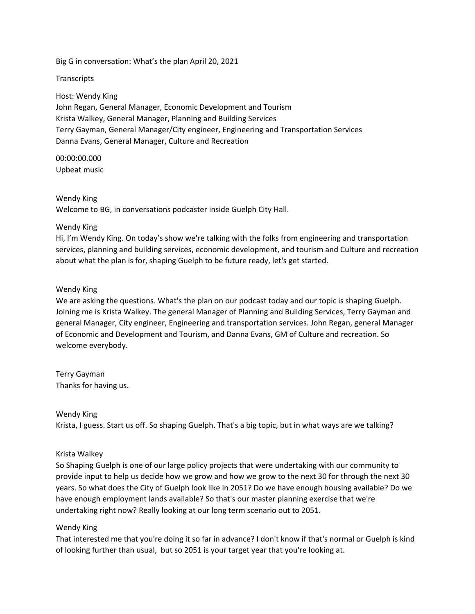Big G in conversation: What's the plan April 20, 2021

**Transcripts** 

Host: Wendy King

John Regan, General Manager, Economic Development and Tourism Krista Walkey, General Manager, Planning and Building Services Terry Gayman, General Manager/City engineer, Engineering and Transportation Services Danna Evans, General Manager, Culture and Recreation

00:00:00.000 Upbeat music

Wendy King

Welcome to BG, in conversations podcaster inside Guelph City Hall.

# Wendy King

Hi, I'm Wendy King. On today's show we're talking with the folks from engineering and transportation services, planning and building services, economic development, and tourism and Culture and recreation about what the plan is for, shaping Guelph to be future ready, let's get started.

# Wendy King

We are asking the questions. What's the plan on our podcast today and our topic is shaping Guelph. Joining me is Krista Walkey. The general Manager of Planning and Building Services, Terry Gayman and general Manager, City engineer, Engineering and transportation services. John Regan, general Manager of Economic and Development and Tourism, and Danna Evans, GM of Culture and recreation. So welcome everybody.

Terry Gayman Thanks for having us.

Wendy King

Krista, I guess. Start us off. So shaping Guelph. That's a big topic, but in what ways are we talking?

# Krista Walkey

So Shaping Guelph is one of our large policy projects that were undertaking with our community to provide input to help us decide how we grow and how we grow to the next 30 for through the next 30 years. So what does the City of Guelph look like in 2051? Do we have enough housing available? Do we have enough employment lands available? So that's our master planning exercise that we're undertaking right now? Really looking at our long term scenario out to 2051.

# Wendy King

That interested me that you're doing it so far in advance? I don't know if that's normal or Guelph is kind of looking further than usual, but so 2051 is your target year that you're looking at.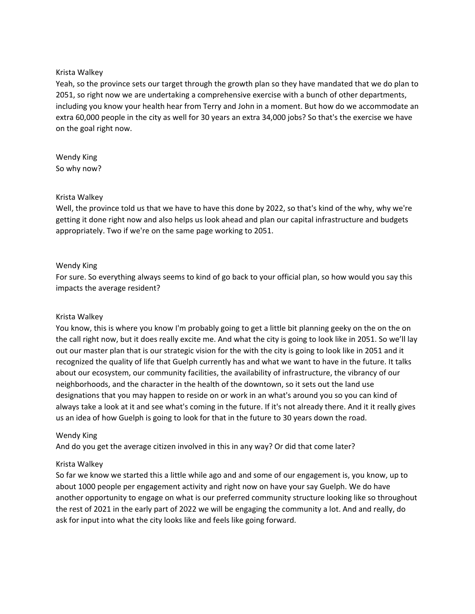### Krista Walkey

Yeah, so the province sets our target through the growth plan so they have mandated that we do plan to 2051, so right now we are undertaking a comprehensive exercise with a bunch of other departments, including you know your health hear from Terry and John in a moment. But how do we accommodate an extra 60,000 people in the city as well for 30 years an extra 34,000 jobs? So that's the exercise we have on the goal right now.

Wendy King So why now?

#### Krista Walkey

Well, the province told us that we have to have this done by 2022, so that's kind of the why, why we're getting it done right now and also helps us look ahead and plan our capital infrastructure and budgets appropriately. Two if we're on the same page working to 2051.

#### Wendy King

For sure. So everything always seems to kind of go back to your official plan, so how would you say this impacts the average resident?

# Krista Walkey

You know, this is where you know I'm probably going to get a little bit planning geeky on the on the on the call right now, but it does really excite me. And what the city is going to look like in 2051. So we'll lay out our master plan that is our strategic vision for the with the city is going to look like in 2051 and it recognized the quality of life that Guelph currently has and what we want to have in the future. It talks about our ecosystem, our community facilities, the availability of infrastructure, the vibrancy of our neighborhoods, and the character in the health of the downtown, so it sets out the land use designations that you may happen to reside on or work in an what's around you so you can kind of always take a look at it and see what's coming in the future. If it's not already there. And it it really gives us an idea of how Guelph is going to look for that in the future to 30 years down the road.

# Wendy King

And do you get the average citizen involved in this in any way? Or did that come later?

# Krista Walkey

So far we know we started this a little while ago and and some of our engagement is, you know, up to about 1000 people per engagement activity and right now on have your say Guelph. We do have another opportunity to engage on what is our preferred community structure looking like so throughout the rest of 2021 in the early part of 2022 we will be engaging the community a lot. And and really, do ask for input into what the city looks like and feels like going forward.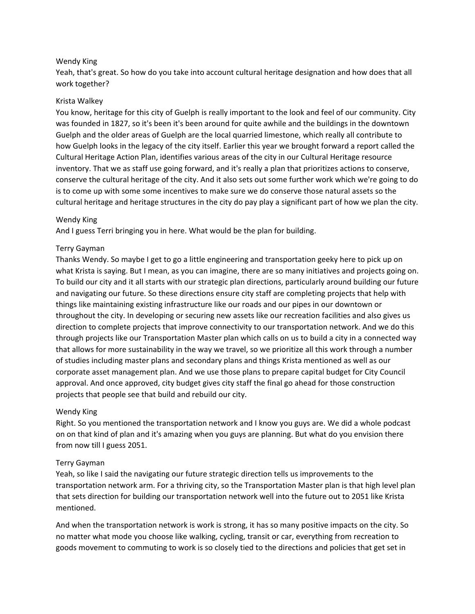### Wendy King

Yeah, that's great. So how do you take into account cultural heritage designation and how does that all work together?

#### Krista Walkey

You know, heritage for this city of Guelph is really important to the look and feel of our community. City was founded in 1827, so it's been it's been around for quite awhile and the buildings in the downtown Guelph and the older areas of Guelph are the local quarried limestone, which really all contribute to how Guelph looks in the legacy of the city itself. Earlier this year we brought forward a report called the Cultural Heritage Action Plan, identifies various areas of the city in our Cultural Heritage resource inventory. That we as staff use going forward, and it's really a plan that prioritizes actions to conserve, conserve the cultural heritage of the city. And it also sets out some further work which we're going to do is to come up with some some incentives to make sure we do conserve those natural assets so the cultural heritage and heritage structures in the city do pay play a significant part of how we plan the city.

#### Wendy King

And I guess Terri bringing you in here. What would be the plan for building.

#### Terry Gayman

Thanks Wendy. So maybe I get to go a little engineering and transportation geeky here to pick up on what Krista is saying. But I mean, as you can imagine, there are so many initiatives and projects going on. To build our city and it all starts with our strategic plan directions, particularly around building our future and navigating our future. So these directions ensure city staff are completing projects that help with things like maintaining existing infrastructure like our roads and our pipes in our downtown or throughout the city. In developing or securing new assets like our recreation facilities and also gives us direction to complete projects that improve connectivity to our transportation network. And we do this through projects like our Transportation Master plan which calls on us to build a city in a connected way that allows for more sustainability in the way we travel, so we prioritize all this work through a number of studies including master plans and secondary plans and things Krista mentioned as well as our corporate asset management plan. And we use those plans to prepare capital budget for City Council approval. And once approved, city budget gives city staff the final go ahead for those construction projects that people see that build and rebuild our city.

# Wendy King

Right. So you mentioned the transportation network and I know you guys are. We did a whole podcast on on that kind of plan and it's amazing when you guys are planning. But what do you envision there from now till I guess 2051.

# Terry Gayman

Yeah, so like I said the navigating our future strategic direction tells us improvements to the transportation network arm. For a thriving city, so the Transportation Master plan is that high level plan that sets direction for building our transportation network well into the future out to 2051 like Krista mentioned.

And when the transportation network is work is strong, it has so many positive impacts on the city. So no matter what mode you choose like walking, cycling, transit or car, everything from recreation to goods movement to commuting to work is so closely tied to the directions and policies that get set in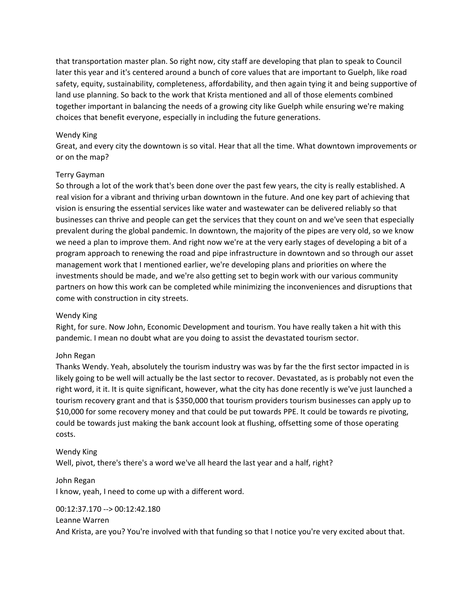that transportation master plan. So right now, city staff are developing that plan to speak to Council later this year and it's centered around a bunch of core values that are important to Guelph, like road safety, equity, sustainability, completeness, affordability, and then again tying it and being supportive of land use planning. So back to the work that Krista mentioned and all of those elements combined together important in balancing the needs of a growing city like Guelph while ensuring we're making choices that benefit everyone, especially in including the future generations.

### Wendy King

Great, and every city the downtown is so vital. Hear that all the time. What downtown improvements or or on the map?

#### Terry Gayman

So through a lot of the work that's been done over the past few years, the city is really established. A real vision for a vibrant and thriving urban downtown in the future. And one key part of achieving that vision is ensuring the essential services like water and wastewater can be delivered reliably so that businesses can thrive and people can get the services that they count on and we've seen that especially prevalent during the global pandemic. In downtown, the majority of the pipes are very old, so we know we need a plan to improve them. And right now we're at the very early stages of developing a bit of a program approach to renewing the road and pipe infrastructure in downtown and so through our asset management work that I mentioned earlier, we're developing plans and priorities on where the investments should be made, and we're also getting set to begin work with our various community partners on how this work can be completed while minimizing the inconveniences and disruptions that come with construction in city streets.

# Wendy King

Right, for sure. Now John, Economic Development and tourism. You have really taken a hit with this pandemic. I mean no doubt what are you doing to assist the devastated tourism sector.

# John Regan

Thanks Wendy. Yeah, absolutely the tourism industry was was by far the the first sector impacted in is likely going to be well will actually be the last sector to recover. Devastated, as is probably not even the right word, it it. It is quite significant, however, what the city has done recently is we've just launched a tourism recovery grant and that is \$350,000 that tourism providers tourism businesses can apply up to \$10,000 for some recovery money and that could be put towards PPE. It could be towards re pivoting, could be towards just making the bank account look at flushing, offsetting some of those operating costs.

# Wendy King Well, pivot, there's there's a word we've all heard the last year and a half, right?

John Regan I know, yeah, I need to come up with a different word.

# 00:12:37.170 --> 00:12:42.180

#### Leanne Warren

And Krista, are you? You're involved with that funding so that I notice you're very excited about that.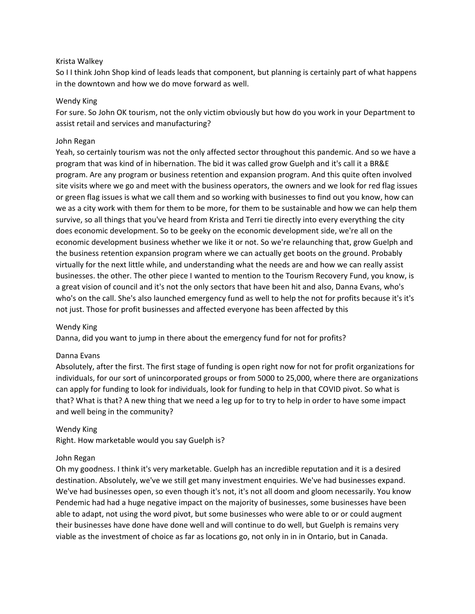### Krista Walkey

So I I think John Shop kind of leads leads that component, but planning is certainly part of what happens in the downtown and how we do move forward as well.

#### Wendy King

For sure. So John OK tourism, not the only victim obviously but how do you work in your Department to assist retail and services and manufacturing?

### John Regan

Yeah, so certainly tourism was not the only affected sector throughout this pandemic. And so we have a program that was kind of in hibernation. The bid it was called grow Guelph and it's call it a BR&E program. Are any program or business retention and expansion program. And this quite often involved site visits where we go and meet with the business operators, the owners and we look for red flag issues or green flag issues is what we call them and so working with businesses to find out you know, how can we as a city work with them for them to be more, for them to be sustainable and how we can help them survive, so all things that you've heard from Krista and Terri tie directly into every everything the city does economic development. So to be geeky on the economic development side, we're all on the economic development business whether we like it or not. So we're relaunching that, grow Guelph and the business retention expansion program where we can actually get boots on the ground. Probably virtually for the next little while, and understanding what the needs are and how we can really assist businesses. the other. The other piece I wanted to mention to the Tourism Recovery Fund, you know, is a great vision of council and it's not the only sectors that have been hit and also, Danna Evans, who's who's on the call. She's also launched emergency fund as well to help the not for profits because it's it's not just. Those for profit businesses and affected everyone has been affected by this

#### Wendy King

Danna, did you want to jump in there about the emergency fund for not for profits?

#### Danna Evans

Absolutely, after the first. The first stage of funding is open right now for not for profit organizations for individuals, for our sort of unincorporated groups or from 5000 to 25,000, where there are organizations can apply for funding to look for individuals, look for funding to help in that COVID pivot. So what is that? What is that? A new thing that we need a leg up for to try to help in order to have some impact and well being in the community?

#### Wendy King

Right. How marketable would you say Guelph is?

# John Regan

Oh my goodness. I think it's very marketable. Guelph has an incredible reputation and it is a desired destination. Absolutely, we've we still get many investment enquiries. We've had businesses expand. We've had businesses open, so even though it's not, it's not all doom and gloom necessarily. You know Pendemic had had a huge negative impact on the majority of businesses, some businesses have been able to adapt, not using the word pivot, but some businesses who were able to or or could augment their businesses have done have done well and will continue to do well, but Guelph is remains very viable as the investment of choice as far as locations go, not only in in in Ontario, but in Canada.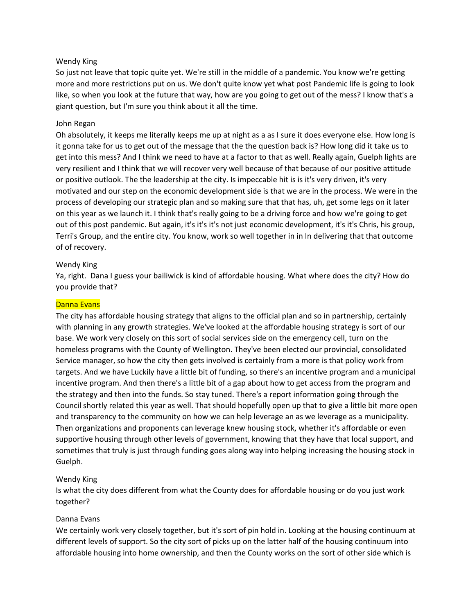### Wendy King

So just not leave that topic quite yet. We're still in the middle of a pandemic. You know we're getting more and more restrictions put on us. We don't quite know yet what post Pandemic life is going to look like, so when you look at the future that way, how are you going to get out of the mess? I know that's a giant question, but I'm sure you think about it all the time.

#### John Regan

Oh absolutely, it keeps me literally keeps me up at night as a as I sure it does everyone else. How long is it gonna take for us to get out of the message that the the question back is? How long did it take us to get into this mess? And I think we need to have at a factor to that as well. Really again, Guelph lights are very resilient and I think that we will recover very well because of that because of our positive attitude or positive outlook. The the leadership at the city. Is impeccable hit is is it's very driven, it's very motivated and our step on the economic development side is that we are in the process. We were in the process of developing our strategic plan and so making sure that that has, uh, get some legs on it later on this year as we launch it. I think that's really going to be a driving force and how we're going to get out of this post pandemic. But again, it's it's it's not just economic development, it's it's Chris, his group, Terri's Group, and the entire city. You know, work so well together in in In delivering that that outcome of of recovery.

#### Wendy King

Ya, right. Dana I guess your bailiwick is kind of affordable housing. What where does the city? How do you provide that?

#### Danna Evans

The city has affordable housing strategy that aligns to the official plan and so in partnership, certainly with planning in any growth strategies. We've looked at the affordable housing strategy is sort of our base. We work very closely on this sort of social services side on the emergency cell, turn on the homeless programs with the County of Wellington. They've been elected our provincial, consolidated Service manager, so how the city then gets involved is certainly from a more is that policy work from targets. And we have Luckily have a little bit of funding, so there's an incentive program and a municipal incentive program. And then there's a little bit of a gap about how to get access from the program and the strategy and then into the funds. So stay tuned. There's a report information going through the Council shortly related this year as well. That should hopefully open up that to give a little bit more open and transparency to the community on how we can help leverage an as we leverage as a municipality. Then organizations and proponents can leverage knew housing stock, whether it's affordable or even supportive housing through other levels of government, knowing that they have that local support, and sometimes that truly is just through funding goes along way into helping increasing the housing stock in Guelph.

# Wendy King

Is what the city does different from what the County does for affordable housing or do you just work together?

#### Danna Evans

We certainly work very closely together, but it's sort of pin hold in. Looking at the housing continuum at different levels of support. So the city sort of picks up on the latter half of the housing continuum into affordable housing into home ownership, and then the County works on the sort of other side which is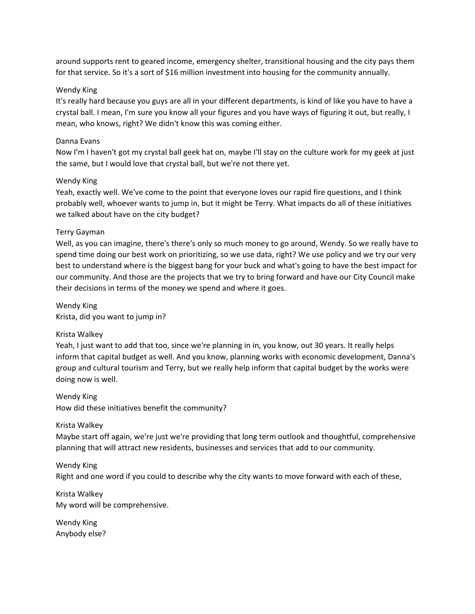around supports rent to geared income, emergency shelter, transitional housing and the city pays them for that service. So it's a sort of \$16 million investment into housing for the community annually.

# Wendy King

It's really hard because you guys are all in your different departments, is kind of like you have to have a crystal ball. I mean, I'm sure you know all your figures and you have ways of figuring it out, but really, I mean, who knows, right? We didn't know this was coming either.

# Danna Evans

Now I'm I haven't got my crystal ball geek hat on, maybe I'll stay on the culture work for my geek at just the same, but I would love that crystal ball, but we're not there yet.

# Wendy King

Yeah, exactly well. We've come to the point that everyone loves our rapid fire questions, and I think probably well, whoever wants to jump in, but it might be Terry. What impacts do all of these initiatives we talked about have on the city budget?

# Terry Gayman

Well, as you can imagine, there's there's only so much money to go around, Wendy. So we really have to spend time doing our best work on prioritizing, so we use data, right? We use policy and we try our very best to understand where is the biggest bang for your buck and what's going to have the best impact for our community. And those are the projects that we try to bring forward and have our City Council make their decisions in terms of the money we spend and where it goes.

Wendy King Krista, did you want to jump in?

# Krista Walkey

Yeah, I just want to add that too, since we're planning in in, you know, out 30 years. It really helps inform that capital budget as well. And you know, planning works with economic development, Danna's group and cultural tourism and Terry, but we really help inform that capital budget by the works were doing now is well.

Wendy King How did these initiatives benefit the community?

# Krista Walkey

Maybe start off again, we're just we're providing that long term outlook and thoughtful, comprehensive planning that will attract new residents, businesses and services that add to our community.

Wendy King Right and one word if you could to describe why the city wants to move forward with each of these,

Krista Walkey My word will be comprehensive.

Wendy King Anybody else?